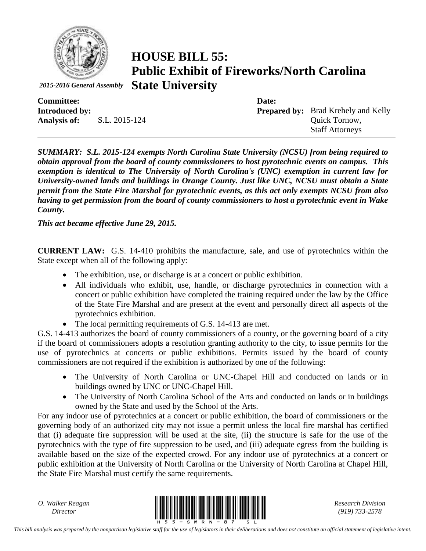

*2015-2016 General Assembly*

**HOUSE BILL 55: Public Exhibit of Fireworks/North Carolina State University**

| <b>Committee:</b>     |               | Date: |                                            |
|-----------------------|---------------|-------|--------------------------------------------|
| <b>Introduced by:</b> |               |       | <b>Prepared by:</b> Brad Krehely and Kelly |
| <b>Analysis of:</b>   | S.L. 2015-124 |       | Quick Tornow,                              |
|                       |               |       | <b>Staff Attorneys</b>                     |

*SUMMARY: S.L. 2015-124 exempts North Carolina State University (NCSU) from being required to obtain approval from the board of county commissioners to host pyrotechnic events on campus. This exemption is identical to The University of North Carolina's (UNC) exemption in current law for University-owned lands and buildings in Orange County. Just like UNC, NCSU must obtain a State permit from the State Fire Marshal for pyrotechnic events, as this act only exempts NCSU from also having to get permission from the board of county commissioners to host a pyrotechnic event in Wake County.* 

*This act became effective June 29, 2015.*

**CURRENT LAW:** G.S. 14-410 prohibits the manufacture, sale, and use of pyrotechnics within the State except when all of the following apply:

- The exhibition, use, or discharge is at a concert or public exhibition.
- All individuals who exhibit, use, handle, or discharge pyrotechnics in connection with a concert or public exhibition have completed the training required under the law by the Office of the State Fire Marshal and are present at the event and personally direct all aspects of the pyrotechnics exhibition.
- The local permitting requirements of G.S. 14-413 are met.

G.S. 14-413 authorizes the board of county commissioners of a county, or the governing board of a city if the board of commissioners adopts a resolution granting authority to the city, to issue permits for the use of pyrotechnics at concerts or public exhibitions. Permits issued by the board of county commissioners are not required if the exhibition is authorized by one of the following:

- The University of North Carolina or UNC-Chapel Hill and conducted on lands or in buildings owned by UNC or UNC-Chapel Hill.
- The University of North Carolina School of the Arts and conducted on lands or in buildings owned by the State and used by the School of the Arts.

For any indoor use of pyrotechnics at a concert or public exhibition, the board of commissioners or the governing body of an authorized city may not issue a permit unless the local fire marshal has certified that (i) adequate fire suppression will be used at the site, (ii) the structure is safe for the use of the pyrotechnics with the type of fire suppression to be used, and (iii) adequate egress from the building is available based on the size of the expected crowd. For any indoor use of pyrotechnics at a concert or public exhibition at the University of North Carolina or the University of North Carolina at Chapel Hill, the State Fire Marshal must certify the same requirements.

*O. Walker Reagan*



*(919) 733-2578*